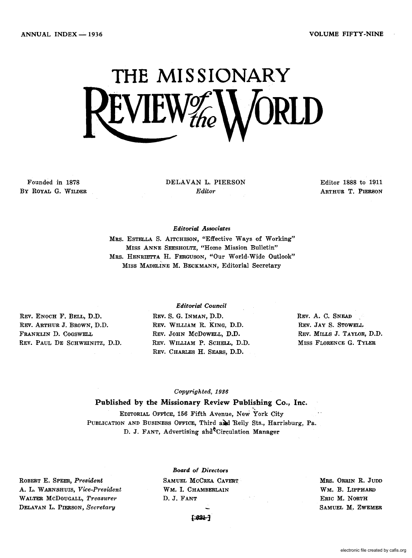# **THE MISSIONARY**  L V IL W $_{the}$

Founded in 1878 By ROYAL G. WILDER DELAVAN L. PIERSON *Editor* 

Editor 1888 to 1911 ARTHUR T. PIERSON

### *Editorial Associates*

MRS. ESTELLA S. AITCHISON, "Effective Ways of Working" MISS ANNE SEESHOLTZ, "Home Mission Bulletin" MRS. HENRIETTA H. FERGUSON, "Our World-Wide Outlook" MISS MADELiNE M. BECKMANN, Editorial Secretary

REV. ENOCH F. BELL, D.D. REV. ARTHUR J. BROWN, D.D. FRANKLIN D. COGSWELL REV. PAUL DE SCHWEINITZ, D.D.

### *Editorial Council*

REV. S. G. INMAN, D.D. REV. WILLIAM R. KING, D.D. REV. JOHN McDOWELL, D.D. REV. WILLIAM P. SCHELL, D.D. REV. CHARLES H. SEARS, D.D.

REV. A. C. SNEAD REV. JAY S. STOWELL REV. MILLS J. TAYLOR, D.D. MISS FLORENCE G. TYLER

### *Copyrighted, 1936*

## Published by the Missionary Review Publishing Co., Inc.

EDITORIAL OFFICE, 156 Fifth Avenue, New York City PUBLICATION AND BUSINESS OFFICE, Third and Reily Sts., Harrisburg, Pa. D. J. FANT, Advertising ahd Circulation Manager

ROBERT E. SPEER, *President*  A. L. WARNSHUIS, *Vice-President*  WALTER McDOUGALL, *Treasurer*  DELAVAN L. PIERSON, *Secretary* 

*Board* of *Directors*  SAMUEL MCCREA CAVERT WM. I. CHAMBERLAIN D. J. FANT

MRS. ORRIN R. JUDD WM.B. LIPPHARD ERIC M. NORTH SAMUEL M.ZWEMER

 $1 - 624 - 7$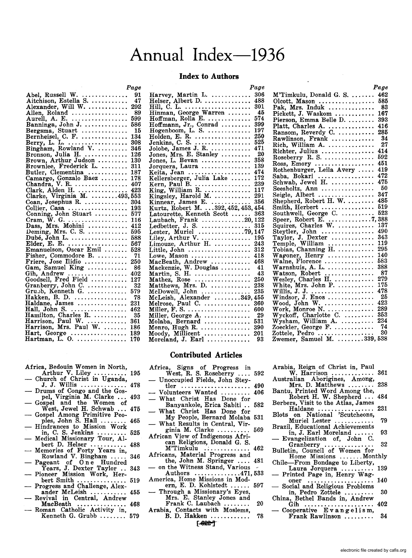# **Annual Index-1936**

### **Index to Authors**

*Page* 

|                                                                                | Page      |
|--------------------------------------------------------------------------------|-----------|
| Abel, Russell W.<br>Aitchison, Estella S.                                      | 91        |
|                                                                                | 47        |
| Alexander, Will W.                                                             | 292       |
| Allen, Roland<br>Aurell, A. E.                                                 | 89        |
|                                                                                | 599       |
| Banninga, John J.                                                              | 586       |
|                                                                                | 15        |
| Bergsma, Stuart<br>Bernheisel, C. F.                                           | 134       |
| Berry, L. L.<br>Bingham, Rowland V.                                            | 308       |
|                                                                                | 346       |
| Bronson, Julia H.<br>Brown, Arthur Judson                                      | 126       |
|                                                                                | 130       |
| Brownlee, Frederick L.                                                         | 311       |
| Butler, Clementina                                                             | 187       |
|                                                                                |           |
|                                                                                |           |
|                                                                                |           |
|                                                                                |           |
| Coan, Josephus R.                                                              | 304       |
|                                                                                | 193       |
|                                                                                | 577       |
|                                                                                | 116       |
|                                                                                | 412       |
| Deming, Mrs. C. S.                                                             | 595       |
| Dubé, John L.<br>Elder, E. E.                                                  | 588       |
|                                                                                | 567       |
| Emanuelson, Oscar Emil                                                         | 528       |
| Fisher, Commodore B.                                                           | 71        |
| Friere, Jose Ilidio<br>Gam, Samuel King<br>Gih, Andrew<br>Goodsell, Fred Field | 250       |
|                                                                                | 86<br>402 |
|                                                                                | 127       |
|                                                                                | 32        |
| Granberry, John C.<br>Grubb, Kenneth G.                                        | 579       |
| Hakken, B. D.                                                                  | 78        |
| Haldane, James                                                                 | 231       |
|                                                                                | 462       |
| Hall, John S.<br>Hamilton, Charles R.                                          | 35        |
|                                                                                | 361       |
| Harrison, Paul W.<br>Harrison, Mrs. Paul W.                                    | 186       |
|                                                                                | 189       |
| Hart, George<br>Hartman, L. O.                                                 | 170       |
|                                                                                |           |

|  | Africa, Bedouin Women in North, |  |  |
|--|---------------------------------|--|--|
|  |                                 |  |  |

- Africa, Bedouin Women in North,<br>Arthur V. Liley .......... 195<br>— Church of Christ in Uganda,
- J. J. Willis .............. 478 Drums of Congo and the Gos-
- pel, Virginia M. Clarke ... 493<br>
 Gospel and the Women of
- West, Jewel H. Schwab ... 475<br>
-- Gospel Among Primitive Peo-
- mong Frimtive Peoples, John S. Hall ......... 465<br>
 Hindrances to Mission Work
- Hindrances to Mission work<br>in, C. S. Jenkins .......... 525<br>- Medical Missionary Tour, Al-
- bert D. Helser ................ 488<br>bert D. Helser ............. 488<br>- Memories of Forty Years in,
- Memories of Forty Tears in,<br>Rowland V. Bingham ..... 346<br>— Pageant of 0 n e Hundred
- Pageant of One Hundred<br>
Years, J. Dexter Taylor .. 343<br>
Pioneer Mission Work, Her-<br>
bert Smith ................... 519
- bert Smith ............... 519 Progress and Challenge, Alex-
- ander McLeish .............. 455<br>Revival in Central, Andrew<br>MacBeath ................ 468
- MacBeath ............... 468 Roman Catholic Activity in, Kenneth G. Grubb ........ 579

|                                                                | - - - |
|----------------------------------------------------------------|-------|
|                                                                | 306   |
| Helser, Albert D.                                              | 488   |
| Hill, C. L.<br>Hinman, George Warren                           | 301   |
|                                                                | - 45  |
|                                                                | 574   |
|                                                                | 399   |
| Hoffman, Rolla E.<br>Hoffmann, Jr., Conrad<br>Hogenboom, L. S. | 197   |
| Holden, E. R.                                                  | 250   |
| Jenkins, C. S.                                                 | 525   |
| Jolobe, James J. R.                                            | 471   |
| Jones, Mrs. E. Stanley                                         | - 20  |
|                                                                | 358   |
| Jones, L. Bevan<br>Jorquera, Laura                             | 139   |
|                                                                | 474   |
| Keita, Jean<br>Kellersberger, Julia Lake                       | 172   |
|                                                                | 239   |
|                                                                | 117   |
| Kingsley, Harold M.                                            | 291   |
| Kinnear, James E.  356<br>Kurtz, Robert M. 392, 452, 453, 454  |       |
|                                                                |       |
| Latourette, Kenneth Scott  363<br>Laubach, Frank 20, 122       |       |
|                                                                |       |
|                                                                |       |
|                                                                |       |
|                                                                |       |
| Limouze, Arthur H.                                             | 243   |
| Little, John $\ldots \ldots \ldots \ldots \ldots$              | 312   |
| Lowe, Mason                                                    | 418   |
| MacBeath, Andrew                                               | 468   |
|                                                                | 41    |
|                                                                | -43   |
|                                                                | 250   |
| Matthews, Mrs. D.                                              | 238   |
| $McDowell, John$                                               | 235   |
|                                                                |       |
|                                                                |       |
|                                                                |       |
| Miller, George A. $\ldots$ .                                   | - 29  |
|                                                                |       |
|                                                                | 390   |
|                                                                |       |
| Moreland, J. Earl $\ldots$                                     | 93    |
|                                                                |       |

Willis, J. J .................... 478 Windsor, J. Enos.............. 25 Wood, John W ................ 423 wood, John W. .................. 423<br>Work, Monroe N. ............... 289 Wyckoff, Charlotte C .......... 353 Wyckoff, Charlotte C. .......... 393<br>Wysham, William A. ............ 234<br>Zoeckler, George F. .............. 74 Zottele, Pedro ................. 30 Zwemer, Samuel M. . ....... 339, 538

Africa, Signs of Progress in West, R. S. Roseberry .... 592 Unoccupied Fields, John SteytIer ..................... 490

**Contributed Articles** 

- Volunteers Wanted ......... 406
- What Christ Has Done for Banyankole, Erica Sabiti .. 582
- What Christ Has Done for My People, Bernard Molaba 531
- What Results in Central, Vir-ginia M. Clarke .......... 569
- African View of Indigenous Afri- can Religions, Donald G. S. M'Timkulu ............... 462
- Africans, Material Progress and the, John M. Springer .... 481
- on the Witness Stand, Various<br>Authors ..............471,533
- America, Home Missions in Mod-<br>ern, E. D. Kohlstedt ...... 597 ern, E. D. Kohlstedt ...... 597<br>ern, E. D. Kohlstedt ...... 597<br>— Through a Missionary's Eyes,
- Mrs. E. Stanley Jones and Frank C. Laubach ........ 20
- Arabia, Contacts with Moslems,<br>B.D. Hakken ............... 78
	- $[ -692 7]$
- Arabia, Reign of Christ in, Paul W. Harrison ............. 361 Australian Aborigines, Among, Mrs. D. Matthews ........ 238
- Bantu, Printed Word Among the, Robert H. W. Shepherd ... 484
- Berbers, Visit to the Atlas, James
- Berbers, visit to the Atlas, James<br>Haldane ................... 231<br>Blots on National 'Scutcheons,
- Muriel Lester ............ 79 Brazil, Educational Achievements
- in, J. Earl Moreland ...... 93<br>Evangelization of, John C.<br>Granberry .................. 32
- Granberry ............... 32 Bulletin, Council of Women for Home Missions ....... Monthly
- Chile-From Bondage to Liberty,
- Laura Jorquera .......... 139 Printed Page in, Henry Wag- oner .................... 140 Social and Religious Problems
- in, Pedro Zottele .........<br>China, Bethel Bands in, Andrew
- Bethel Bands in, Andrew
- Gih ..................... 402 Cooperative E van gel ism, Frank Rawlinson ........

*Page* 

 $M'Timkulu$ , Donald G. S. ...... 462 Olcott, Mason ................. 585 Pak, Mrs. Induk  $\dots\dots\dots\dots$ Pickett, J. Waskom ............ 167 Pierson, Emma Belle D. ........ 393 Platt, Charles A. .............. 416 Ransom, Reverdy C. ........... 285 Rawlinson, Frank .................. 34<br>Rich William A. 27 Rich, William A. .............. Richter, Julius ................. 414 Roseberry R. S. ............... 592 Ross, Emory ........•......... 451 Rothenburger, Leila Avery ..... 419 Rothenburger, Lena Avery ..... 413<br>Saba, Bokari ................. 472 Saba, Bokari ................... 472<br>Schwab, Jewel H. .............. 475 Seesholtz, Ann ................ 50 Seigle, Albert .................. 347 Shepherd, Robert H. W. ........ 485 Smith, Herbert ................ 519 Southwell, George C. .......... 523 Speer, Robert E .............. 7,388 Squires, Charles W ............ 137 Steytler, John ................ 490 Taylor, J. Dexter ............. 343 Taylor, J. Dexter  $\dots\dots\dots\dots$  343<br>Temple, William  $\dots\dots\dots\dots$  119 Tobias, Channing H. ................ 295 Nagoner, Henry ................. 250<br>Wagoner, Henry ................ 140<br>Walne, Florence .................. 583 Warnshuis, A. L. .............. 388 Watson, Robert ............... 87 Wesley, Charles H ............. 279 White, Mrs. John P. ........... 175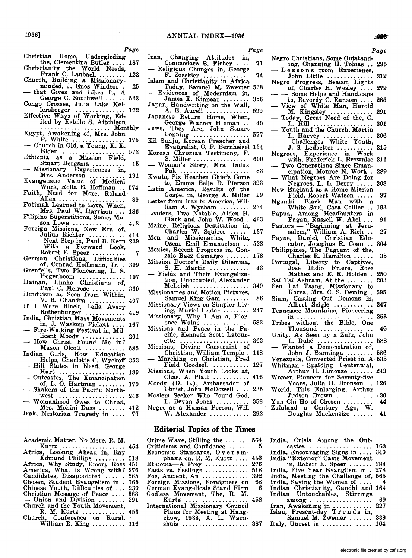*Page* 

Christian Home, Undergirding<br>the, Clementina Butler .... 187

1936]

- Christianity the World Needs, Frank C. Laubach ........ 122
- Church, Building a Missionary-<br>minded, J. Enos Windsor. 25<br>— that Gives and Likes It, A
- George C. Southwell ...... 523
- Congo Crosses, Julia Lake Kellersberger .................. 172<br>Effective Ways of Working, Ed-
- ited by Estelle S. Aitchison ..................... Monthly
- Egypt, Awakening of, Mrs. John P. White .................. 175<br>
 Church in Old, a Young, E. E.
- Elder ................... 573
- Ethiopia as a Mission Field,
- Stuart Bergsma ........... 15<br>Missionary Experiences in,<br>Mrs. Anderson ........... 191
- Mrs. Anderson ........... 191 Evangelistic Value of Medical Work, Rolla E. Hoffman .. 574
- Faith, Need for More, Roland
- Allen.................... 89 Fatimah Learned to Love, When,
- Mrs. Paul W. Harrison ... 186 Filipino Superstitions, Some, Ma- son Lowe ................ 4, 8
- Foreign Missions, New Era of,
- Julius Richter ............ 414<br>- Next Step in, Paul B. Kern 239<br>- Next Step in, Forward Look
- Robert E. Speer .......... 7 German Christians, Difficulties of, Conrad Hoffmann, Jr .. 399
- of, Conrad Hoffmann, Jr. .<br>Grenfells, Two Pioneering, L. S.
- Hogenboom .............. 197 Hainan, Limko Christians of, Hainan, Limko Christians of,<br>Paul C. Melrose .......... 360
- Hinduism as Seen from Within, V. R. Chandra ........... 407
- If I Were Black, Leila Avery<br>Rothenburger ................ 419
- India, Christian Mass Movements
- in, J. Waskom Pickett .... 167<br>- Fire-Walking Festival in, Millicent Moody ............. 201
- licent Moody ...............<br>How Christ Found Me in? Mason Olcott ............ 585
- Indian Girls, How Education Helps, Charlotte C. Wyckoff 353
- Hill States in Need, George
- Hart .................... 189 Outcastes, The Emancipation of, L. O. Hartman ........ 170
- of, L. O. Hartman  $\dots$  170<br>- Shakers of the Pacific North-<br>west  $\dots$
- west .....................<br>Womanhood Owes to Christ,
- Mrs. Mohini Dass ........ 412<br>Nestorian Tragedy in .... 77 Irak, Nestorian Tragedy in ....
- Academic Matter, No Mere, R. M.
- Academic matter, No Mere, R. M.<br>Kurtz ................... 454<br>Africa, Looking Ahead in, Ray Edmund Phillips ......... 518 Africa, Why Study, Emory Ross 451 America, What Is Wrong with? 276 Candidates, Disappointed ...... 565 Chosen, Student Evangelism in . 165 Chinese Youth, Difficulties of ... 230<br>Christian Message of Peace .... 563 Union and Division ........ 391 Church and the Youth Movement, R. M. Kurtz ............. 453 Church, Conference on Rural,
- Church, Conference on Rural,<br>William R. King .......... 116
- 
- Iran, Changing Attitudes in, Commodore B. Fisher .... 71 Religious Changes in, George Religious Changes in, George<br>F. Zoeckler ................ 74
- Islam and Christianity in Africa<br>Today, Samuel M. Zwemer 538
- Today, Samuel M. Zwemer 538<br>- Evidences of Modernism in, James E. Kinnear ............ 356
- Japan, Handwriting on the Wall,
- A. E. Aurell ............. 599 Japanese Return Home, When,
- George Warren Hinman .. 45 Jews, They Are, John Stuart Jews, They Are, Jonn Branch 177
- Kil Sunju, Korean Preacher and Evang-elist, C. F. Bernheisel 134
- Korean Christian Testimony, F. S. Miller ............. . . .. 600 - Woman's Story, Mrs. Induk
- oman's Story, Mrs. Induk<br>Pak ......................... 83
- Kwato, Six Heathen Chiefs Come to, Emma Belle D. Pierson 393
- Latin America, Results of the Gospel in, George A. Miller 29
- Letter from Iran to America, Wil-
- liam A. Wysham .......... 234 Leaders, Two Notable, Alden H. Clark and John W. Wood. 423
- 
- Maine, Religious Destitution in, Charles W. Squires ...... 137 Men and Missionaries, White,
- Oscar Emil Emanuelson .. 528 Mexico, Recent Progress in, Gon-
- zalo Baez Camargo ....... 178 Mission Doctor's Daily Dilemma,
- S. H. Martin ................. 43<br>- Fields and Their Evangeliza-
- tion, Unoccupied, Alexander McLeish ................. 349
- Miissionaries and Motion Pictures, Samuel King Gam ......... 86
- Missionary Views on Simpler Living, Muriel Lester ........ 247
- Missionary, Why I Am a, Flor- ence Walne .............. 583
- Missions and Peace in the Pacific, Kenneth Scott Latour-ette ..................... 363
- Missions, Divine Constraint of<br>Christian, William Temple. 118<br>— Marching on Christian, Fred
- Marching on Christian, Fred<br>Field Goodsell ........... 127
- Missions, When Youth Looks at, Chas. A. Platt ........... 416
- Moody (D. L.), Ambassador of Christ, John McDowell .... 235
- Moslem Seeker Who Found God, L. Bevan Jones .......... 358
- Negro as a Human Person, Will
- W. Alexander ............ 292

### **Editorial Topics of the Times**

Crime Wave, Stilling the ....... 564 Criticisms and Confidence ...... Economic Standards, 0 v ere m- phasis on, R. M. Kurtz .... 453 pinasis on, R. M. Kurtz .... 495<br>Ethiopia—A Prey ............. 276 Ethiopia—A Prey ............... 276<br>Facts vs. Feelings ............. 518 racts vs. reeings ............... 518<br>Foe, Ancient, An ................ 392<br>Foreign Missions, Foreigners on 68 German Evangelicals Stand. Firm 6 Godless Movement, The, R. M.<br>
Kurtz ........................... 452 International Missionary Council Plans for Meeting at Hangchow, 1938, A. L. Warn-

shuis .................... 387

- *Page*
- Negro Christians, Some Outstanding, Channing H. Tobias ., 295
- Lessons from Experience, John Little .............. 312
- Negro Progress, Beacon Lights<br>
of, Charles H. Wesley .... 279<br>
 - Some Helps and Handicaps
- Some Helps and Handicaps<br>to, Reverdy C. Ransom .... 285
- View of White Man, Harold M. Kingsley ............. 291
- Today, Great Need of the, C.
- L. Hill .................. 301
- Youth and the Church, Martin
- L. Harvey ....................... 306<br>- Challenges White Youth,<br>J. S. Ledbetter ............... 315 J. S. Ledbetter .......
- Negroes, Experience in Work with, Frederick L. Brownlee 311
- Two Generations Since Emancipation, Monroe N. Work. 289
- What Negroes Are Doing for
- Negroes, L. L. Berry ..... 308 New England as a Home Mission Field, Robert Watson ..... 87
- Ngombi Black Man with a<br>White Soul, Casa Collier .. 193
- Papua, Among Headhunters in
- Pagan, Russell W. Abel... 91 Pastors — "Beginning at Jeru-<br>salem," William A. Rich ... 27
- Payne, Daniel, Christian Edu-
- extor, Josephus R. Coan .. 304<br>
Philippines, The Pageant of the,<br>
Charles R. Hamilton ...... 35
- Portugal, Liberty to Captives, Jose Ilidio Friere, Rose
- Mathez and E. R. Holden . 250 Mathez and E. R. Holden . 250<br>Sat Tal Ashram, At the ........ 203
- 
- Sen Lai Tsang, Missionary to Korea, Mrs. C. S. Deming . 595
- Siam, Casting Out Demons in, Albert Seigle ............ 347
- Tennessee Mountains, Pioneering<br>
minimum and the contract of the 253
- Tribes without the Bible, One Thousand ................ 40
- Unity. As Seen by a Zulu, John
- L. Dube ................. 588 Wanted a Demonstration of, John J. Banninga .......
- Venezuela, Converted Priest in, A 535
- Whitman Spalding Centennial, Arthur H. Limouze .... Women Pioneers for Seventy-five Years, Julia H. Bronson .. 126

Judson Brown ........... 130

Douglas Mackenzize ...... 41

castes ................... 163 India, Encouraging Signs in .... 340 India "Exterior" Caste Movement in, Robert E. Speer ....... 388 India, Five Year Evanglism in . 278 India, Meeting the Challenge of, 565 India, Saving the Women of .... 4 Indian Christianity, Gandhi and 164 Indian Untouchables, Stirrings

among ..................... 69<br>Awakening in ............. 227 Iran, A wakening in ............ 227. Islan, Present-day T r end sin, Samuel M. Zwemer ....... 339 Samuel M. Zwemer ........ 339<br>Italy, Unrest in ................ 164

World, This Enlarging, Arthur

Yun Chi Ho of Chosen......... 44 Zululand a Century Ago, W.

India, Crisis Among the Out-

electronic file created by cafis.org